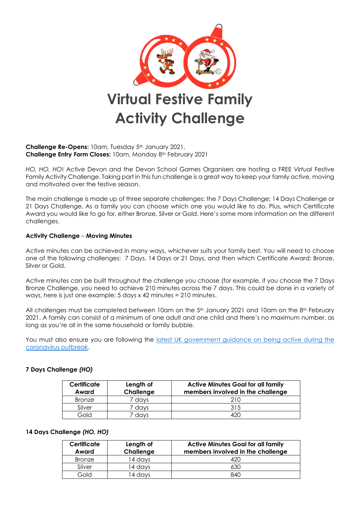

#### **Challenge Re-Opens:** 10am, Tuesday 5<sup>th</sup> January 2021. **Challenge Entry Form Closes:** 10am, Monday 8th February 2021

*HO, HO, HO*! Active Devon and the Devon School Games Organisers are hosting a FREE *Virtual* Festive Family Activity Challenge. Taking part in this fun challenge is a great way to keep your family active, moving and motivated over the festive season.

The main challenge is made up of three separate challenges: the 7 Days Challenge; 14 Days Challenge or 21 Days Challenge. As a family you can choose which one you would like to do. Plus, which Certificate Award you would like to go for, either Bronze, Silver or Gold. Here's some more information on the different challenges.

### **Activity Challenge** – **Moving Minutes**

Active minutes can be achieved in many ways, whichever suits your family best. You will need to choose one of the following challenges: 7 Days, 14 Days or 21 Days, and then which Certificate Award: Bronze, Silver or Gold.

Active minutes can be built throughout the challenge you choose (for example, if you choose the 7 Days Bronze Challenge, you need to achieve 210 minutes across the 7 days. This could be done in a variety of ways, here is just one example: 5 days x 42 minutes = 210 minutes.

All challenges must be completed between 10am on the 5<sup>th</sup> January 2021 and 10am on the 8<sup>th</sup> February 2021. A family can consist of a minimum of one adult and one child and there's no maximum number, as long as you're all in the same household or family bubble.

You must also ensure you are following the latest UK government guidance on being active during the [coronavirus outbreak.](https://www.activedevon.org/latest-government-guidance-on-being-active-during-the-coronavirus-outbreak/)

| Certificate<br>Award | Length of<br>Challenge | <b>Active Minutes Goal for all family</b><br>members involved in the challenge |  |  |  |  |
|----------------------|------------------------|--------------------------------------------------------------------------------|--|--|--|--|
| Bronze               | davs                   | 21 N                                                                           |  |  |  |  |
| Silver               | davs                   | 315                                                                            |  |  |  |  |
| Gold                 | davs                   |                                                                                |  |  |  |  |

## **7 Days Challenge** *(HO)*

#### **14 Days Challenge** *(HO, HO)*

| Certificate<br>Award | Length of<br>Challenge | <b>Active Minutes Goal for all family</b><br>members involved in the challenge |  |  |  |  |
|----------------------|------------------------|--------------------------------------------------------------------------------|--|--|--|--|
| <b>Bronze</b>        | 14 davs                | 420                                                                            |  |  |  |  |
| Silver               | 14 davs                | 630                                                                            |  |  |  |  |
| Gold                 | 14 davs                | 840                                                                            |  |  |  |  |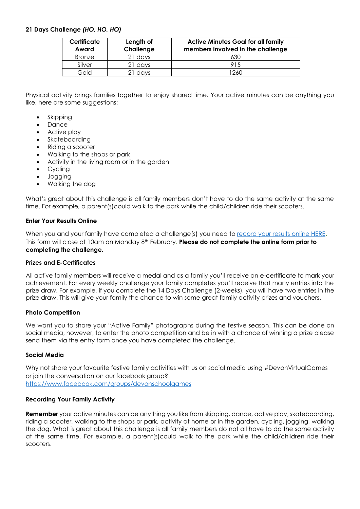## **21 Days Challenge** *(HO, HO, HO)*

| Certificate<br>Award | Length of<br>Challenge | <b>Active Minutes Goal for all family</b><br>members involved in the challenge |  |  |  |  |
|----------------------|------------------------|--------------------------------------------------------------------------------|--|--|--|--|
| <b>Bronze</b>        | 21 days                | 630                                                                            |  |  |  |  |
| Silver               | 21 days                | 915                                                                            |  |  |  |  |
| Gold                 | 21 days                | 1260                                                                           |  |  |  |  |

Physical activity brings families together to enjoy shared time. Your active minutes can be anything you like, here are some suggestions:

- **Skipping**
- Dance
- Active play
- Skateboarding
- Riding a scooter
- Walking to the shops or park
- Activity in the living room or in the garden
- Cycling
- Jogging
- Walking the dog

What's great about this challenge is all family members don't have to do the same activity at the same time. For example, a parent(s)could walk to the park while the child/children ride their scooters.

#### **Enter Your Results Online**

When you and your family have completed a challenge(s) you need to [record your results online HERE.](https://www.surveymonkey.co.uk/r/ActiveFestiveFamilies) This form will close at 10am on Monday 8th February. **Please do not complete the online form prior to completing the challenge.** 

#### **Prizes and E-Certificates**

All active family members will receive a medal and as a family you'll receive an e-certificate to mark your achievement. For every weekly challenge your family completes you'll receive that many entries into the prize draw. For example, if you complete the 14 Days Challenge (2-weeks), you will have two entries in the prize draw. This will give your family the chance to win some great family activity prizes and vouchers.

#### **Photo Competition**

We want you to share your "Active Family" photographs during the festive season. This can be done on social media, however, to enter the photo competition and be in with a chance of winning a prize please send them via the entry form once you have completed the challenge.

#### **Social Media**

Why not share your favourite festive family activities with us on social media using #DevonVirtualGames or join the conversation on our facebook group? <https://www.facebook.com/groups/devonschoolgames>

#### **Recording Your Family Activity**

**Remember** your active minutes can be anything you like from skipping, dance, active play, skateboarding, riding a scooter, walking to the shops or park, activity at home or in the garden, cycling, jogging, walking the dog. What is great about this challenge is all family members do not all have to do the same activity at the same time. For example, a parent(s)could walk to the park while the child/children ride their scooters.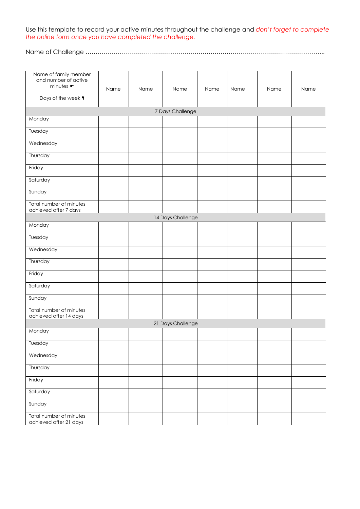Use this template to record your active minutes throughout the challenge and *don't forget to complete the online form once you have completed the challenge.*

Name of Challenge ………………………………………………………………………………………………………..

| Name of family member<br>and number of active<br>minutes $\bullet$<br>Days of the week 4 | Name | Name | Name              | Name | Name | Name | Name |  |  |  |
|------------------------------------------------------------------------------------------|------|------|-------------------|------|------|------|------|--|--|--|
| 7 Days Challenge                                                                         |      |      |                   |      |      |      |      |  |  |  |
| Monday                                                                                   |      |      |                   |      |      |      |      |  |  |  |
| Tuesday                                                                                  |      |      |                   |      |      |      |      |  |  |  |
| Wednesday                                                                                |      |      |                   |      |      |      |      |  |  |  |
| Thursday                                                                                 |      |      |                   |      |      |      |      |  |  |  |
| Friday                                                                                   |      |      |                   |      |      |      |      |  |  |  |
| Saturday                                                                                 |      |      |                   |      |      |      |      |  |  |  |
| Sunday                                                                                   |      |      |                   |      |      |      |      |  |  |  |
| Total number of minutes<br>achieved after 7 days                                         |      |      |                   |      |      |      |      |  |  |  |
|                                                                                          |      |      | 14 Days Challenge |      |      |      |      |  |  |  |
| Monday                                                                                   |      |      |                   |      |      |      |      |  |  |  |
| Tuesday                                                                                  |      |      |                   |      |      |      |      |  |  |  |
| Wednesday                                                                                |      |      |                   |      |      |      |      |  |  |  |
| Thursday                                                                                 |      |      |                   |      |      |      |      |  |  |  |
| Friday                                                                                   |      |      |                   |      |      |      |      |  |  |  |
| Saturday                                                                                 |      |      |                   |      |      |      |      |  |  |  |
| Sunday                                                                                   |      |      |                   |      |      |      |      |  |  |  |
| Total number of minutes<br>achieved after 14 days                                        |      |      |                   |      |      |      |      |  |  |  |
|                                                                                          |      |      | 21 Days Challenge |      |      |      |      |  |  |  |
| Monday                                                                                   |      |      |                   |      |      |      |      |  |  |  |
| Tuesday                                                                                  |      |      |                   |      |      |      |      |  |  |  |
| Wednesday                                                                                |      |      |                   |      |      |      |      |  |  |  |
| Thursday                                                                                 |      |      |                   |      |      |      |      |  |  |  |
| Friday                                                                                   |      |      |                   |      |      |      |      |  |  |  |
| Saturday                                                                                 |      |      |                   |      |      |      |      |  |  |  |
| Sunday                                                                                   |      |      |                   |      |      |      |      |  |  |  |
| Total number of minutes<br>achieved after 21 days                                        |      |      |                   |      |      |      |      |  |  |  |